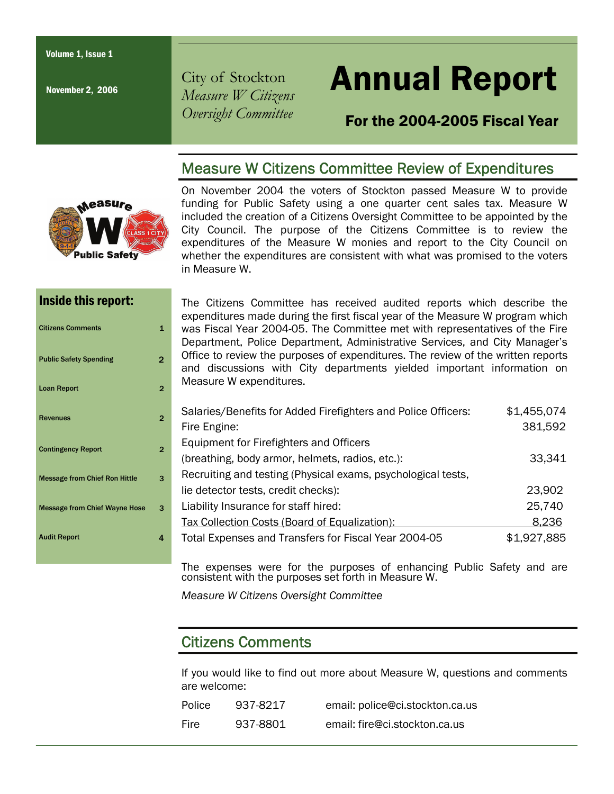November 2, 2006

City of Stockton *Measure W Citizens Oversight Committee* 

# Annual Report

# For the 2004-2005 Fiscal Year

#### Measure W Citizens Committee Review of Expenditures



On November 2004 the voters of Stockton passed Measure W to provide funding for Public Safety using a one quarter cent sales tax. Measure W included the creation of a Citizens Oversight Committee to be appointed by the City Council. The purpose of the Citizens Committee is to review the expenditures of the Measure W monies and report to the City Council on whether the expenditures are consistent with what was promised to the voters in Measure W.

#### Inside this report:

| <b>Citizens Comments</b>             | 1 |
|--------------------------------------|---|
| <b>Public Safety Spending</b>        | 2 |
| <b>Loan Report</b>                   | 2 |
| <b>Revenues</b>                      | 2 |
| <b>Contingency Report</b>            | 2 |
| <b>Message from Chief Ron Hittle</b> | 3 |
| <b>Message from Chief Wayne Hose</b> | 3 |
| <b>Audit Report</b>                  | 4 |

The Citizens Committee has received audited reports which describe the expenditures made during the first fiscal year of the Measure W program which was Fiscal Year 2004-05. The Committee met with representatives of the Fire Department, Police Department, Administrative Services, and City Manager's Office to review the purposes of expenditures. The review of the written reports and discussions with City departments yielded important information on Measure W expenditures.

| Salaries/Benefits for Added Firefighters and Police Officers: | \$1,455,074 |
|---------------------------------------------------------------|-------------|
| Fire Engine:                                                  | 381,592     |
| Equipment for Firefighters and Officers                       |             |
| (breathing, body armor, helmets, radios, etc.):               | 33,341      |
| Recruiting and testing (Physical exams, psychological tests,  |             |
| lie detector tests, credit checks):                           | 23,902      |
| Liability Insurance for staff hired:                          | 25,740      |
| Tax Collection Costs (Board of Equalization):                 | 8,236       |
| Total Expenses and Transfers for Fiscal Year 2004-05          | \$1,927,885 |
|                                                               |             |

The expenses were for the purposes of enhancing Public Safety and are consistent with the purposes set forth in Measure W.

*Measure W Citizens Oversight Committee* 

# Citizens Comments

If you would like to find out more about Measure W, questions and comments are welcome:

| Police | 937-8217 | email: police@ci.stockton.ca.us |
|--------|----------|---------------------------------|
| Fire   | 937-8801 | email: fire@ci.stockton.ca.us   |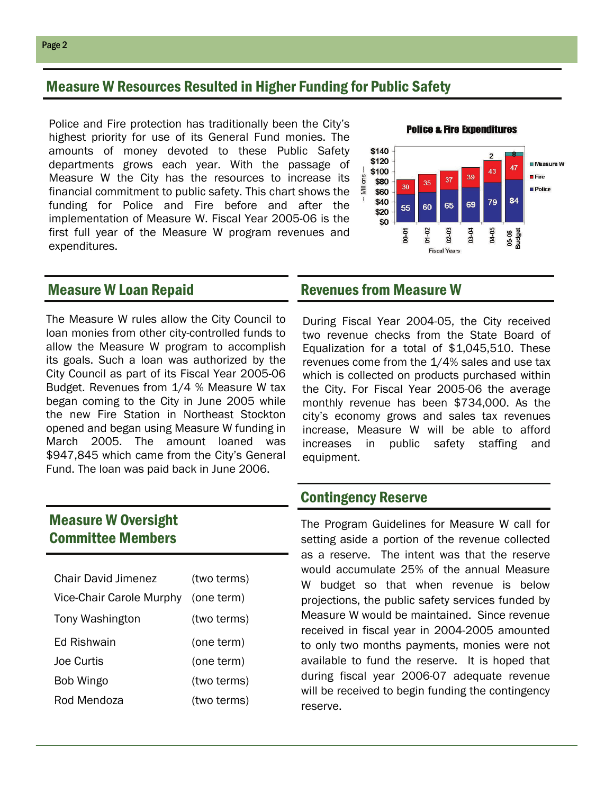### Measure W Resources Resulted in Higher Funding for Public Safety

Police and Fire protection has traditionally been the City's highest priority for use of its General Fund monies. The amounts of money devoted to these Public Safety departments grows each year. With the passage of Measure W the City has the resources to increase its financial commitment to public safety. This chart shows the funding for Police and Fire before and after the implementation of Measure W. Fiscal Year 2005-06 is the first full year of the Measure W program revenues and expenditures.

The Measure W rules allow the City Council to loan monies from other city-controlled funds to allow the Measure W program to accomplish its goals. Such a loan was authorized by the City Council as part of its Fiscal Year 2005-06 Budget. Revenues from 1/4 % Measure W tax began coming to the City in June 2005 while the new Fire Station in Northeast Stockton opened and began using Measure W funding in March 2005. The amount loaned was \$947,845 which came from the City's General Fund. The loan was paid back in June 2006.

# Measure W Oversight Committee Members

| Chair David Jimenez                 | (two terms) |
|-------------------------------------|-------------|
| Vice-Chair Carole Murphy (one term) |             |
| <b>Tony Washington</b>              | (two terms) |
| Ed Rishwain                         | (one term)  |
| Joe Curtis                          | (one term)  |
| Bob Wingo                           | (two terms) |
| Rod Mendoza                         | (two terms) |

**Police & Fire Expenditures** 



#### **Measure W Loan Repaid Revenues from Measure W**

During Fiscal Year 2004-05, the City received two revenue checks from the State Board of Equalization for a total of \$1,045,510. These revenues come from the 1/4% sales and use tax which is collected on products purchased within the City. For Fiscal Year 2005-06 the average monthly revenue has been \$734,000. As the city's economy grows and sales tax revenues increase, Measure W will be able to afford increases in public safety staffing and equipment.

#### Contingency Reserve

The Program Guidelines for Measure W call for setting aside a portion of the revenue collected as a reserve. The intent was that the reserve would accumulate 25% of the annual Measure W budget so that when revenue is below projections, the public safety services funded by Measure W would be maintained. Since revenue received in fiscal year in 2004-2005 amounted to only two months payments, monies were not available to fund the reserve. It is hoped that during fiscal year 2006-07 adequate revenue will be received to begin funding the contingency reserve.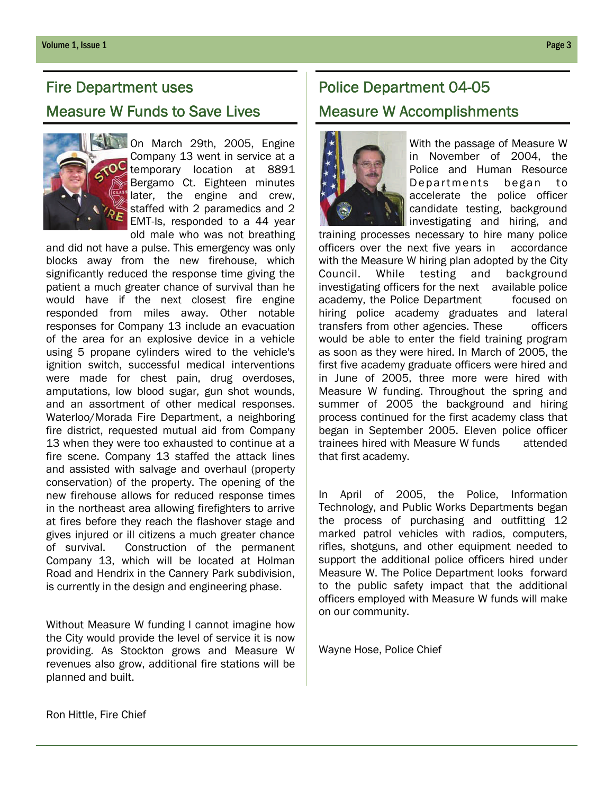#### Fire Department uses

# Measure W Funds to Save Lives



On March 29th, 2005, Engine Company 13 went in service at a temporary location at 8891 Bergamo Ct. Eighteen minutes later, the engine and crew, staffed with 2 paramedics and 2 EMT-Is, responded to a 44 year old male who was not breathing

and did not have a pulse. This emergency was only blocks away from the new firehouse, which significantly reduced the response time giving the patient a much greater chance of survival than he would have if the next closest fire engine responded from miles away. Other notable responses for Company 13 include an evacuation of the area for an explosive device in a vehicle using 5 propane cylinders wired to the vehicle's ignition switch, successful medical interventions were made for chest pain, drug overdoses, amputations, low blood sugar, gun shot wounds, and an assortment of other medical responses. Waterloo/Morada Fire Department, a neighboring fire district, requested mutual aid from Company 13 when they were too exhausted to continue at a fire scene. Company 13 staffed the attack lines and assisted with salvage and overhaul (property conservation) of the property. The opening of the new firehouse allows for reduced response times in the northeast area allowing firefighters to arrive at fires before they reach the flashover stage and gives injured or ill citizens a much greater chance of survival. Construction of the permanent Company 13, which will be located at Holman Road and Hendrix in the Cannery Park subdivision, is currently in the design and engineering phase.

Without Measure W funding I cannot imagine how the City would provide the level of service it is now providing. As Stockton grows and Measure W revenues also grow, additional fire stations will be planned and built.

# Police Department 04-05 Measure W Accomplishments



With the passage of Measure W in November of 2004, the Police and Human Resource Departments began to accelerate the police officer candidate testing, background investigating and hiring, and

training processes necessary to hire many police officers over the next five years in accordance with the Measure W hiring plan adopted by the City Council. While testing and background investigating officers for the next available police academy, the Police Department focused on hiring police academy graduates and lateral transfers from other agencies. These officers would be able to enter the field training program as soon as they were hired. In March of 2005, the first five academy graduate officers were hired and in June of 2005, three more were hired with Measure W funding. Throughout the spring and summer of 2005 the background and hiring process continued for the first academy class that began in September 2005. Eleven police officer trainees hired with Measure W funds attended that first academy.

In April of 2005, the Police, Information Technology, and Public Works Departments began the process of purchasing and outfitting 12 marked patrol vehicles with radios, computers, rifles, shotguns, and other equipment needed to support the additional police officers hired under Measure W. The Police Department looks forward to the public safety impact that the additional officers employed with Measure W funds will make on our community.

Wayne Hose, Police Chief

Ron Hittle, Fire Chief